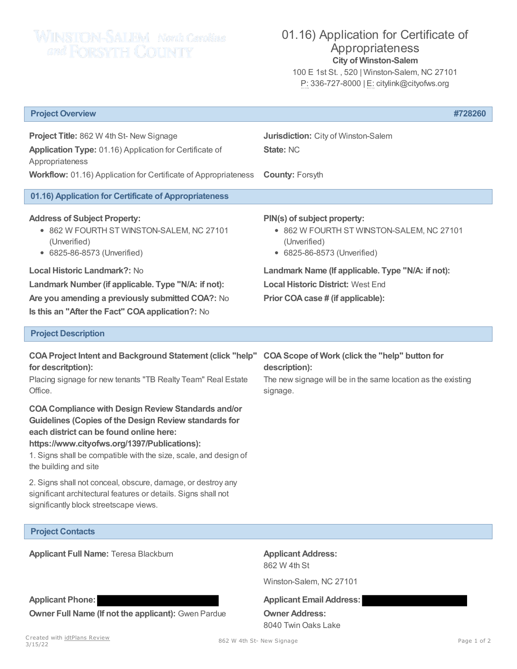## WINSTON-SALEM North Centures

## 01.16) Application for Certificate of Appropriateness **City of Winston-Salem**

100 E 1st St. , 520 | Winston-Salem, NC 27101 P: 336-727-8000 | E: citylink@cityofws.org

| <b>Project Overview</b>                                                                                                                                                                                                                                                                                           | #728260                                                                                                                                            |
|-------------------------------------------------------------------------------------------------------------------------------------------------------------------------------------------------------------------------------------------------------------------------------------------------------------------|----------------------------------------------------------------------------------------------------------------------------------------------------|
| Project Title: 862 W 4th St- New Signage<br>Application Type: 01.16) Application for Certificate of<br>Appropriateness                                                                                                                                                                                            | Jurisdiction: City of Winston-Salem<br><b>State: NC</b>                                                                                            |
| Workflow: 01.16) Application for Certificate of Appropriateness                                                                                                                                                                                                                                                   | <b>County: Forsyth</b>                                                                                                                             |
| 01.16) Application for Certificate of Appropriateness                                                                                                                                                                                                                                                             |                                                                                                                                                    |
| <b>Address of Subject Property:</b><br>• 862 W FOURTH ST WINSTON-SALEM, NC 27101<br>(Unverified)<br>• 6825-86-8573 (Unverified)                                                                                                                                                                                   | PIN(s) of subject property:<br>• 862 W FOURTH ST WINSTON-SALEM, NC 27101<br>(Unverified)<br>• 6825-86-8573 (Unverified)                            |
| <b>Local Historic Landmark?: No</b>                                                                                                                                                                                                                                                                               | Landmark Name (If applicable. Type "N/A: if not):                                                                                                  |
| Landmark Number (if applicable. Type "N/A: if not):                                                                                                                                                                                                                                                               | <b>Local Historic District: West End</b>                                                                                                           |
| Are you amending a previously submitted COA?: No<br>Is this an "After the Fact" COA application?: No                                                                                                                                                                                                              | Prior COA case # (if applicable):                                                                                                                  |
| <b>Project Description</b>                                                                                                                                                                                                                                                                                        |                                                                                                                                                    |
| <b>COA Project Intent and Background Statement (click "help"</b><br>for descritption):<br>Placing signage for new tenants "TB Realty Team" Real Estate<br>Office.                                                                                                                                                 | <b>COA Scope of Work (click the "help" button for</b><br>description):<br>The new signage will be in the same location as the existing<br>signage. |
| <b>COA Compliance with Design Review Standards and/or</b><br><b>Guidelines (Copies of the Design Review standards for</b><br>each district can be found online here:<br>https://www.cityofws.org/1397/Publications):<br>1. Signs shall be compatible with the size, scale, and design of<br>the building and site |                                                                                                                                                    |
| 2. Signs shall not conceal, obscure, damage, or destroy any<br>significant architectural features or details. Signs shall not<br>significantly block streetscape views.                                                                                                                                           |                                                                                                                                                    |
| <b>Project Contacts</b>                                                                                                                                                                                                                                                                                           |                                                                                                                                                    |

**Applicant Full Name:** Teresa Blackburn **Applicant Address:** 

862 W 4th St

Winston-Salem, NC 27101

**Applicant Phone: Applicant Email Address:**

**Owner F[ull Name \(If n](http://www.idtplans.com)ot the applicant):** Gwen Pardue **Owner Address:** 8040 Twin Oaks Lake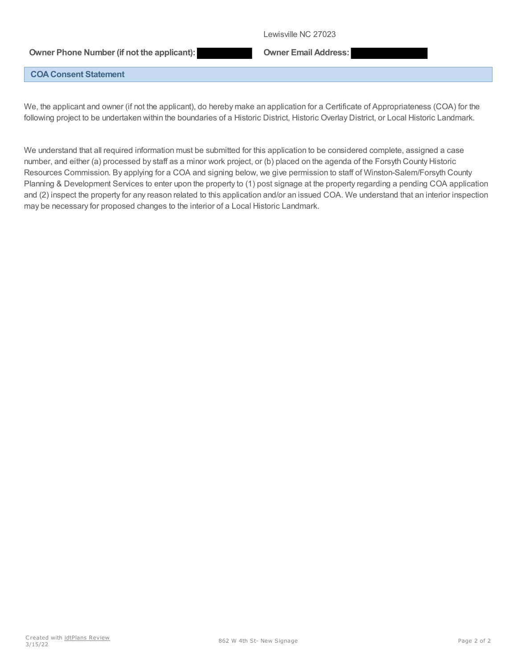Lewisville NC 27023

## **Owner Phone Number (if not the applicant): Owner Email Address:**

## **COA Consent Statement**

We, the applicant and owner (if not the applicant), do hereby make an application for a Certificate of Appropriateness (COA) for the following project to be undertaken within the boundaries of a Historic District, Historic Overlay District, or Local Historic Landmark.

We understand that all required information must be submitted for this application to be considered complete, assigned a case number, and either (a) processed by staff as a minor work project, or (b) placed on the agenda of the Forsyth County Historic Resources Commission. By applying for a COA and signing below, we give permission to staff of Winston-Salem/Forsyth County Planning & Development Services to enter upon the property to (1) post signage at the property regarding a pending COA application and (2) inspect the property for any reason related to this application and/or an issued COA. We understand that an interior inspection may be necessary for proposed changes to the interior of a Local Historic Landmark.